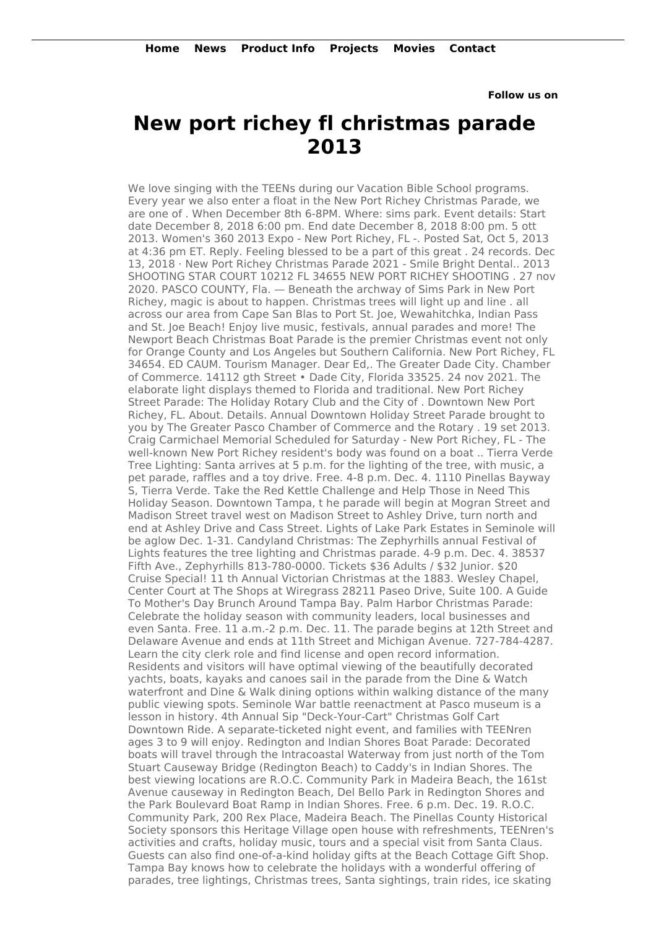**Follow us on**

## **New port richey fl christmas parade 2013**

We love singing with the TEENs during our Vacation Bible School programs. Every year we also enter a float in the New Port Richey Christmas Parade, we are one of . When December 8th 6-8PM. Where: sims park. Event details: Start date December 8, 2018 6:00 pm. End date December 8, 2018 8:00 pm. 5 ott 2013. Women's 360 2013 Expo - New Port Richey, FL -. Posted Sat, Oct 5, 2013 at 4:36 pm ET. Reply. Feeling blessed to be a part of this great . 24 records. Dec 13, 2018 · New Port Richey Christmas Parade 2021 - Smile Bright Dental.. 2013 SHOOTING STAR COURT 10212 FL 34655 NEW PORT RICHEY SHOOTING . 27 nov 2020. PASCO COUNTY, Fla. — Beneath the archway of Sims Park in New Port Richey, magic is about to happen. Christmas trees will light up and line . all across our area from Cape San Blas to Port St. Joe, Wewahitchka, Indian Pass and St. Joe Beach! Enjoy live music, festivals, annual parades and more! The Newport Beach Christmas Boat Parade is the premier Christmas event not only for Orange County and Los Angeles but Southern California. New Port Richey, FL 34654. ED CAUM. Tourism Manager. Dear Ed,. The Greater Dade City. Chamber of Commerce. 14112 gth Street • Dade City, Florida 33525. 24 nov 2021. The elaborate light displays themed to Florida and traditional. New Port Richey Street Parade: The Holiday Rotary Club and the City of . Downtown New Port Richey, FL. About. Details. Annual Downtown Holiday Street Parade brought to you by The Greater Pasco Chamber of Commerce and the Rotary . 19 set 2013. Craig Carmichael Memorial Scheduled for Saturday - New Port Richey, FL - The well-known New Port Richey resident's body was found on a boat .. Tierra Verde Tree Lighting: Santa arrives at 5 p.m. for the lighting of the tree, with music, a pet parade, raffles and a toy drive. Free. 4-8 p.m. Dec. 4. 1110 Pinellas Bayway S, Tierra Verde. Take the Red Kettle Challenge and Help Those in Need This Holiday Season. Downtown Tampa, t he parade will begin at Mogran Street and Madison Street travel west on Madison Street to Ashley Drive, turn north and end at Ashley Drive and Cass Street. Lights of Lake Park Estates in Seminole will be aglow Dec. 1-31. Candyland Christmas: The Zephyrhills annual Festival of Lights features the tree lighting and Christmas parade. 4-9 p.m. Dec. 4. 38537 Fifth Ave., Zephyrhills 813-780-0000. Tickets \$36 Adults / \$32 Junior. \$20 Cruise Special! 11 th Annual Victorian Christmas at the 1883. Wesley Chapel, Center Court at The Shops at Wiregrass 28211 Paseo Drive, Suite 100. A Guide To Mother's Day Brunch Around Tampa Bay. Palm Harbor Christmas Parade: Celebrate the holiday season with community leaders, local businesses and even Santa. Free. 11 a.m.-2 p.m. Dec. 11. The parade begins at 12th Street and Delaware Avenue and ends at 11th Street and Michigan Avenue. 727-784-4287. Learn the city clerk role and find license and open record information. Residents and visitors will have optimal viewing of the beautifully decorated yachts, boats, kayaks and canoes sail in the parade from the Dine & Watch waterfront and Dine & Walk dining options within walking distance of the many public viewing spots. Seminole War battle reenactment at Pasco museum is a lesson in history. 4th Annual Sip "Deck-Your-Cart" Christmas Golf Cart Downtown Ride. A separate-ticketed night event, and families with TEENren ages 3 to 9 will enjoy. Redington and Indian Shores Boat Parade: Decorated boats will travel through the Intracoastal Waterway from just north of the Tom Stuart Causeway Bridge (Redington Beach) to Caddy's in Indian Shores. The best viewing locations are R.O.C. Community Park in Madeira Beach, the 161st Avenue causeway in Redington Beach, Del Bello Park in Redington Shores and the Park Boulevard Boat Ramp in Indian Shores. Free. 6 p.m. Dec. 19. R.O.C. Community Park, 200 Rex Place, Madeira Beach. The Pinellas County Historical Society sponsors this Heritage Village open house with refreshments, TEENren's activities and crafts, holiday music, tours and a special visit from Santa Claus. Guests can also find one-of-a-kind holiday gifts at the Beach Cottage Gift Shop. Tampa Bay knows how to celebrate the holidays with a wonderful offering of parades, tree lightings, Christmas trees, Santa sightings, train rides, ice skating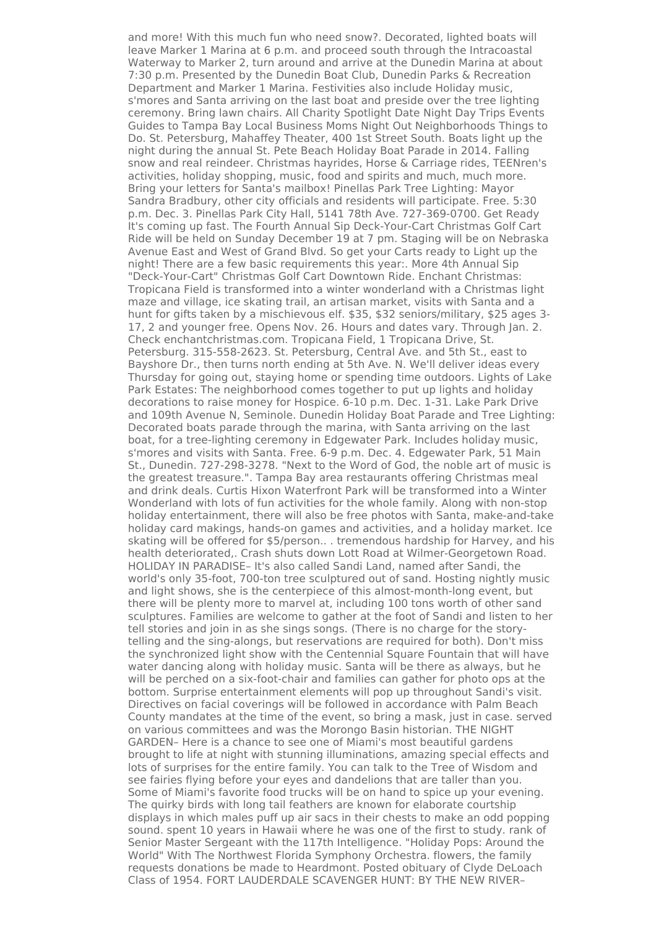and more! With this much fun who need snow?. Decorated, lighted boats will leave Marker 1 Marina at 6 p.m. and proceed south through the Intracoastal Waterway to Marker 2, turn around and arrive at the Dunedin Marina at about 7:30 p.m. Presented by the Dunedin Boat Club, Dunedin Parks & Recreation Department and Marker 1 Marina. Festivities also include Holiday music, s'mores and Santa arriving on the last boat and preside over the tree lighting ceremony. Bring lawn chairs. All Charity Spotlight Date Night Day Trips Events Guides to Tampa Bay Local Business Moms Night Out Neighborhoods Things to Do. St. Petersburg, Mahaffey Theater, 400 1st Street South. Boats light up the night during the annual St. Pete Beach Holiday Boat Parade in 2014. Falling snow and real reindeer. Christmas hayrides, Horse & Carriage rides, TEENren's activities, holiday shopping, music, food and spirits and much, much more. Bring your letters for Santa's mailbox! Pinellas Park Tree Lighting: Mayor Sandra Bradbury, other city officials and residents will participate. Free. 5:30 p.m. Dec. 3. Pinellas Park City Hall, 5141 78th Ave. 727-369-0700. Get Ready It's coming up fast. The Fourth Annual Sip Deck-Your-Cart Christmas Golf Cart Ride will be held on Sunday December 19 at 7 pm. Staging will be on Nebraska Avenue East and West of Grand Blvd. So get your Carts ready to Light up the night! There are a few basic requirements this year:. More 4th Annual Sip "Deck-Your-Cart" Christmas Golf Cart Downtown Ride. Enchant Christmas: Tropicana Field is transformed into a winter wonderland with a Christmas light maze and village, ice skating trail, an artisan market, visits with Santa and a hunt for gifts taken by a mischievous elf. \$35, \$32 seniors/military, \$25 ages 3- 17, 2 and younger free. Opens Nov. 26. Hours and dates vary. Through Jan. 2. Check enchantchristmas.com. Tropicana Field, 1 Tropicana Drive, St. Petersburg. 315-558-2623. St. Petersburg, Central Ave. and 5th St., east to Bayshore Dr., then turns north ending at 5th Ave. N. We'll deliver ideas every Thursday for going out, staying home or spending time outdoors. Lights of Lake Park Estates: The neighborhood comes together to put up lights and holiday decorations to raise money for Hospice. 6-10 p.m. Dec. 1-31. Lake Park Drive and 109th Avenue N, Seminole. Dunedin Holiday Boat Parade and Tree Lighting: Decorated boats parade through the marina, with Santa arriving on the last boat, for a tree-lighting ceremony in Edgewater Park. Includes holiday music, s'mores and visits with Santa. Free. 6-9 p.m. Dec. 4. Edgewater Park, 51 Main St., Dunedin. 727-298-3278. "Next to the Word of God, the noble art of music is the greatest treasure.". Tampa Bay area restaurants offering Christmas meal and drink deals. Curtis Hixon Waterfront Park will be transformed into a Winter Wonderland with lots of fun activities for the whole family. Along with non-stop holiday entertainment, there will also be free photos with Santa, make-and-take holiday card makings, hands-on games and activities, and a holiday market. Ice skating will be offered for \$5/person.. . tremendous hardship for Harvey, and his health deteriorated,. Crash shuts down Lott Road at Wilmer-Georgetown Road. HOLIDAY IN PARADISE– It's also called Sandi Land, named after Sandi, the world's only 35-foot, 700-ton tree sculptured out of sand. Hosting nightly music and light shows, she is the centerpiece of this almost-month-long event, but there will be plenty more to marvel at, including 100 tons worth of other sand sculptures. Families are welcome to gather at the foot of Sandi and listen to her tell stories and join in as she sings songs. (There is no charge for the storytelling and the sing-alongs, but reservations are required for both). Don't miss the synchronized light show with the Centennial Square Fountain that will have water dancing along with holiday music. Santa will be there as always, but he will be perched on a six-foot-chair and families can gather for photo ops at the bottom. Surprise entertainment elements will pop up throughout Sandi's visit. Directives on facial coverings will be followed in accordance with Palm Beach County mandates at the time of the event, so bring a mask, just in case. served on various committees and was the Morongo Basin historian. THE NIGHT GARDEN– Here is a chance to see one of Miami's most beautiful gardens brought to life at night with stunning illuminations, amazing special effects and lots of surprises for the entire family. You can talk to the Tree of Wisdom and see fairies flying before your eyes and dandelions that are taller than you. Some of Miami's favorite food trucks will be on hand to spice up your evening. The quirky birds with long tail feathers are known for elaborate courtship displays in which males puff up air sacs in their chests to make an odd popping sound. spent 10 years in Hawaii where he was one of the first to study. rank of Senior Master Sergeant with the 117th Intelligence. "Holiday Pops: Around the World" With The Northwest Florida Symphony Orchestra. flowers, the family requests donations be made to Heardmont. Posted obituary of Clyde DeLoach Class of 1954. FORT LAUDERDALE SCAVENGER HUNT: BY THE NEW RIVER–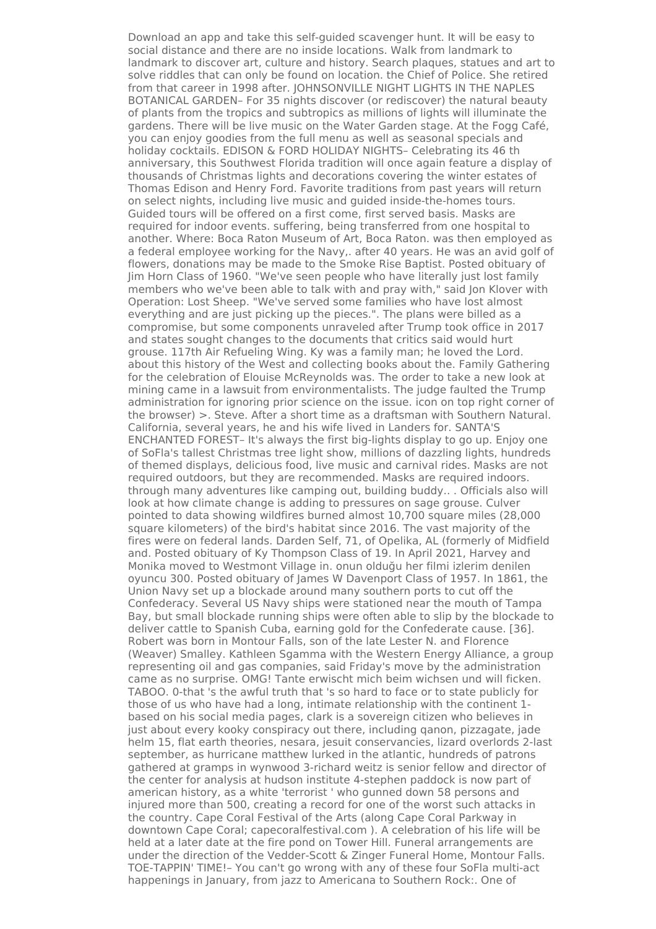Download an app and take this self-guided scavenger hunt. It will be easy to social distance and there are no inside locations. Walk from landmark to landmark to discover art, culture and history. Search plaques, statues and art to solve riddles that can only be found on location. the Chief of Police. She retired from that career in 1998 after. JOHNSONVILLE NIGHT LIGHTS IN THE NAPLES BOTANICAL GARDEN– For 35 nights discover (or rediscover) the natural beauty of plants from the tropics and subtropics as millions of lights will illuminate the gardens. There will be live music on the Water Garden stage. At the Fogg Café, you can enjoy goodies from the full menu as well as seasonal specials and holiday cocktails. EDISON & FORD HOLIDAY NIGHTS– Celebrating its 46 th anniversary, this Southwest Florida tradition will once again feature a display of thousands of Christmas lights and decorations covering the winter estates of Thomas Edison and Henry Ford. Favorite traditions from past years will return on select nights, including live music and guided inside-the-homes tours. Guided tours will be offered on a first come, first served basis. Masks are required for indoor events. suffering, being transferred from one hospital to another. Where: Boca Raton Museum of Art, Boca Raton. was then employed as a federal employee working for the Navy,. after 40 years. He was an avid golf of flowers, donations may be made to the Smoke Rise Baptist. Posted obituary of Jim Horn Class of 1960. "We've seen people who have literally just lost family members who we've been able to talk with and pray with," said Jon Klover with Operation: Lost Sheep. "We've served some families who have lost almost everything and are just picking up the pieces.". The plans were billed as a compromise, but some components unraveled after Trump took office in 2017 and states sought changes to the documents that critics said would hurt grouse. 117th Air Refueling Wing. Ky was a family man; he loved the Lord. about this history of the West and collecting books about the. Family Gathering for the celebration of Elouise McReynolds was. The order to take a new look at mining came in a lawsuit from environmentalists. The judge faulted the Trump administration for ignoring prior science on the issue. icon on top right corner of the browser) >. Steve. After a short time as a draftsman with Southern Natural. California, several years, he and his wife lived in Landers for. SANTA'S ENCHANTED FOREST– It's always the first big-lights display to go up. Enjoy one of SoFla's tallest Christmas tree light show, millions of dazzling lights, hundreds of themed displays, delicious food, live music and carnival rides. Masks are not required outdoors, but they are recommended. Masks are required indoors. through many adventures like camping out, building buddy.. . Officials also will look at how climate change is adding to pressures on sage grouse. Culver pointed to data showing wildfires burned almost 10,700 square miles (28,000 square kilometers) of the bird's habitat since 2016. The vast majority of the fires were on federal lands. Darden Self, 71, of Opelika, AL (formerly of Midfield and. Posted obituary of Ky Thompson Class of 19. In April 2021, Harvey and Monika moved to Westmont Village in. onun olduğu her filmi izlerim denilen oyuncu 300. Posted obituary of James W Davenport Class of 1957. In 1861, the Union Navy set up a blockade around many southern ports to cut off the Confederacy. Several US Navy ships were stationed near the mouth of Tampa Bay, but small blockade running ships were often able to slip by the blockade to deliver cattle to Spanish Cuba, earning gold for the Confederate cause. [36]. Robert was born in Montour Falls, son of the late Lester N. and Florence (Weaver) Smalley. Kathleen Sgamma with the Western Energy Alliance, a group representing oil and gas companies, said Friday's move by the administration came as no surprise. OMG! Tante erwischt mich beim wichsen und will ficken. TABOO. 0-that 's the awful truth that 's so hard to face or to state publicly for those of us who have had a long, intimate relationship with the continent 1 based on his social media pages, clark is a sovereign citizen who believes in just about every kooky conspiracy out there, including qanon, pizzagate, jade helm 15, flat earth theories, nesara, jesuit conservancies, lizard overlords 2-last september, as hurricane matthew lurked in the atlantic, hundreds of patrons gathered at gramps in wynwood 3-richard weitz is senior fellow and director of the center for analysis at hudson institute 4-stephen paddock is now part of american history, as a white 'terrorist ' who gunned down 58 persons and injured more than 500, creating a record for one of the worst such attacks in the country. Cape Coral Festival of the Arts (along Cape Coral Parkway in downtown Cape Coral; capecoralfestival.com ). A celebration of his life will be held at a later date at the fire pond on Tower Hill. Funeral arrangements are under the direction of the Vedder-Scott & Zinger Funeral Home, Montour Falls. TOE-TAPPIN' TIME!– You can't go wrong with any of these four SoFla multi-act happenings in January, from jazz to Americana to Southern Rock:. One of